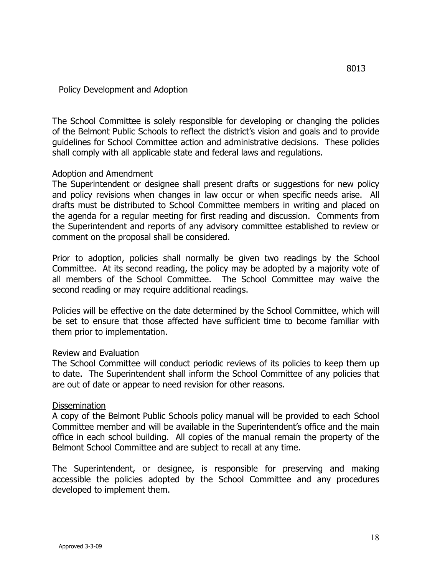## Policy Development and Adoption

The School Committee is solely responsible for developing or changing the policies of the Belmont Public Schools to reflect the district's vision and goals and to provide guidelines for School Committee action and administrative decisions. These policies shall comply with all applicable state and federal laws and regulations.

## Adoption and Amendment

The Superintendent or designee shall present drafts or suggestions for new policy and policy revisions when changes in law occur or when specific needs arise. All drafts must be distributed to School Committee members in writing and placed on the agenda for a regular meeting for first reading and discussion. Comments from the Superintendent and reports of any advisory committee established to review or comment on the proposal shall be considered.

Prior to adoption, policies shall normally be given two readings by the School Committee. At its second reading, the policy may be adopted by a majority vote of all members of the School Committee. The School Committee may waive the second reading or may require additional readings.

Policies will be effective on the date determined by the School Committee, which will be set to ensure that those affected have sufficient time to become familiar with them prior to implementation.

## Review and Evaluation

The School Committee will conduct periodic reviews of its policies to keep them up to date. The Superintendent shall inform the School Committee of any policies that are out of date or appear to need revision for other reasons.

## Dissemination

A copy of the Belmont Public Schools policy manual will be provided to each School Committee member and will be available in the Superintendent's office and the main office in each school building. All copies of the manual remain the property of the Belmont School Committee and are subject to recall at any time.

The Superintendent, or designee, is responsible for preserving and making accessible the policies adopted by the School Committee and any procedures developed to implement them.